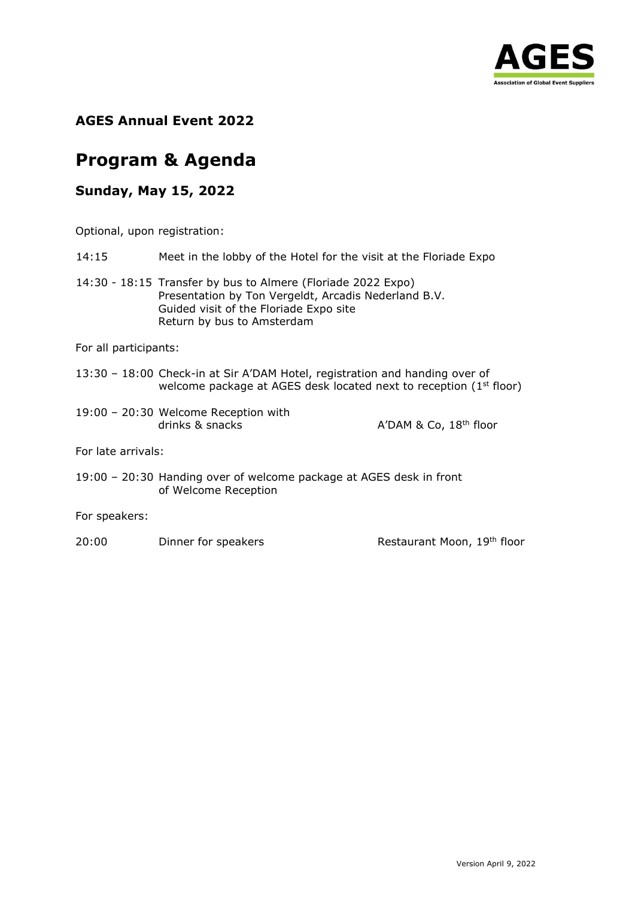

**AGES Annual Event 2022**

# **Program & Agenda**

## **Sunday, May 15, 2022**

Optional, upon registration:

- 14:15 Meet in the lobby of the Hotel for the visit at the Floriade Expo
- 14:30 18:15 Transfer by bus to Almere (Floriade 2022 Expo) Presentation by Ton Vergeldt, Arcadis Nederland B.V. Guided visit of the Floriade Expo site Return by bus to Amsterdam

For all participants:

- 13:30 18:00 Check-in at Sir A'DAM Hotel, registration and handing over of welcome package at AGES desk located next to reception (1<sup>st</sup> floor)
- 19:00 20:30 Welcome Reception with drinks  $\&$  snacks  $\qquad \qquad$  A'DAM  $\&$  Co,  $18^{th}$  floor

For late arrivals:

19:00 – 20:30 Handing over of welcome package at AGES desk in front of Welcome Reception

For speakers:

20:00 Dinner for speakers Restaurant Moon, 19th floor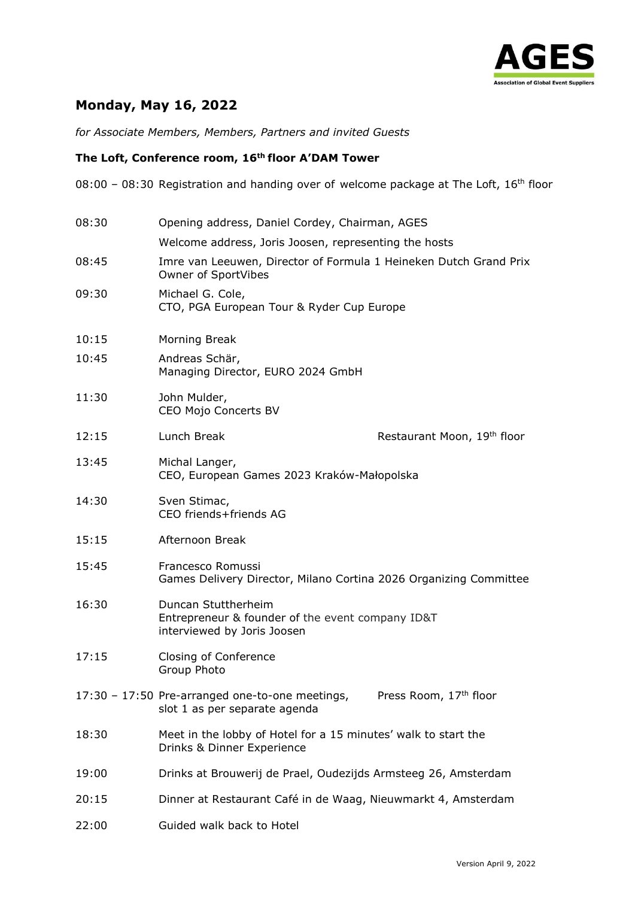

# **Monday, May 16, 2022**

*for Associate Members, Members, Partners and invited Guests*

#### **The Loft, Conference room, 16th floor A'DAM Tower**

08:00 - 08:30 Registration and handing over of welcome package at The Loft, 16<sup>th</sup> floor

| 08:30 | Opening address, Daniel Cordey, Chairman, AGES                                                                         |  |  |
|-------|------------------------------------------------------------------------------------------------------------------------|--|--|
|       | Welcome address, Joris Joosen, representing the hosts                                                                  |  |  |
| 08:45 | Imre van Leeuwen, Director of Formula 1 Heineken Dutch Grand Prix<br>Owner of SportVibes                               |  |  |
| 09:30 | Michael G. Cole,<br>CTO, PGA European Tour & Ryder Cup Europe                                                          |  |  |
| 10:15 | Morning Break                                                                                                          |  |  |
| 10:45 | Andreas Schär,<br>Managing Director, EURO 2024 GmbH                                                                    |  |  |
| 11:30 | John Mulder,<br>CEO Mojo Concerts BV                                                                                   |  |  |
| 12:15 | Lunch Break<br>Restaurant Moon, 19th floor                                                                             |  |  |
| 13:45 | Michal Langer,<br>CEO, European Games 2023 Kraków-Małopolska                                                           |  |  |
| 14:30 | Sven Stimac,<br>CEO friends+friends AG                                                                                 |  |  |
| 15:15 | Afternoon Break                                                                                                        |  |  |
| 15:45 | Francesco Romussi<br>Games Delivery Director, Milano Cortina 2026 Organizing Committee                                 |  |  |
| 16:30 | Duncan Stuttherheim<br>Entrepreneur & founder of the event company ID&T<br>interviewed by Joris Joosen                 |  |  |
| 17:15 | Closing of Conference<br>Group Photo                                                                                   |  |  |
|       | Press Room, 17 <sup>th</sup> floor<br>17:30 - 17:50 Pre-arranged one-to-one meetings,<br>slot 1 as per separate agenda |  |  |
| 18:30 | Meet in the lobby of Hotel for a 15 minutes' walk to start the<br>Drinks & Dinner Experience                           |  |  |
| 19:00 | Drinks at Brouwerij de Prael, Oudezijds Armsteeg 26, Amsterdam                                                         |  |  |
| 20:15 | Dinner at Restaurant Café in de Waag, Nieuwmarkt 4, Amsterdam                                                          |  |  |
| 22:00 | Guided walk back to Hotel                                                                                              |  |  |